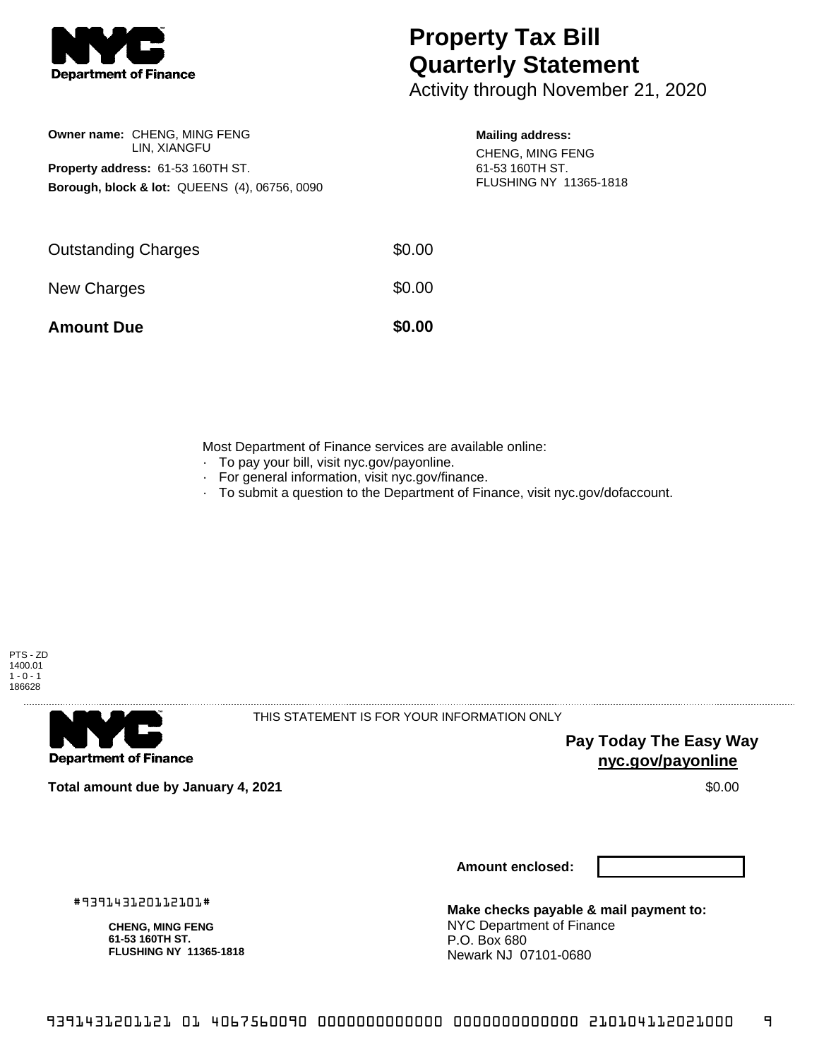

**Owner name:** CHENG, MING FENG LIN, XIANGFU

**Property address:** 61-53 160TH ST.

**Borough, block & lot:** QUEENS (4), 06756, 0090

## **Property Tax Bill Quarterly Statement**

Activity through November 21, 2020

## **Mailing address:**

CHENG, MING FENG 61-53 160TH ST. FLUSHING NY 11365-1818

| \$0.00 |
|--------|
| \$0.00 |
| \$0.00 |
|        |

Most Department of Finance services are available online:

- · To pay your bill, visit nyc.gov/payonline.
- For general information, visit nyc.gov/finance.
- · To submit a question to the Department of Finance, visit nyc.gov/dofaccount.



**Department of Finance** 

THIS STATEMENT IS FOR YOUR INFORMATION ONLY

**Pay Today The Easy Way nyc.gov/payonline**

**Total amount due by January 4, 2021** \$0.00

**Amount enclosed:**

#939143120112101#

**CHENG, MING FENG 61-53 160TH ST. FLUSHING NY 11365-1818**

**Make checks payable & mail payment to:** NYC Department of Finance P.O. Box 680 Newark NJ 07101-0680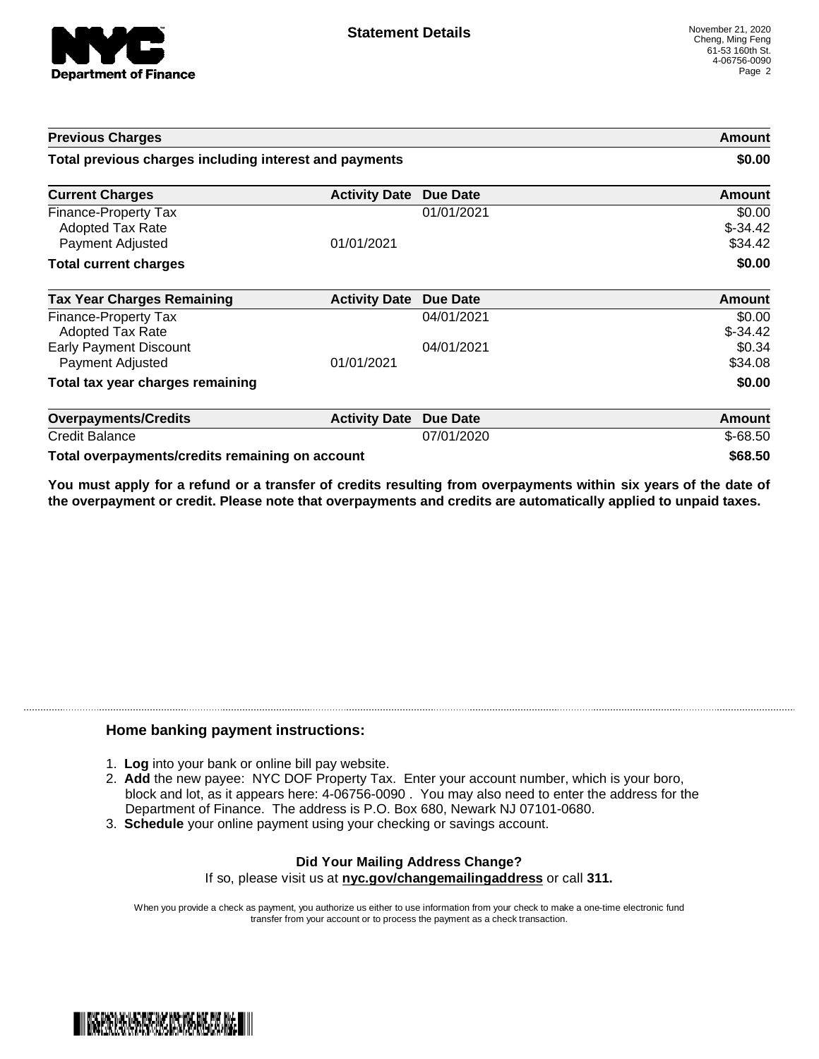

| <b>Previous Charges</b><br>Total previous charges including interest and payments |                      |            | Amount<br>\$0.00               |
|-----------------------------------------------------------------------------------|----------------------|------------|--------------------------------|
|                                                                                   |                      |            |                                |
| <b>Finance-Property Tax</b><br><b>Adopted Tax Rate</b><br>Payment Adjusted        | 01/01/2021           | 01/01/2021 | \$0.00<br>$$-34.42$<br>\$34.42 |
| <b>Total current charges</b>                                                      |                      |            | \$0.00                         |
| <b>Tax Year Charges Remaining</b>                                                 | <b>Activity Date</b> | Due Date   | <b>Amount</b>                  |
| Finance-Property Tax<br><b>Adopted Tax Rate</b>                                   |                      | 04/01/2021 | \$0.00<br>$$-34.42$            |
| <b>Early Payment Discount</b><br>Payment Adjusted                                 | 01/01/2021           | 04/01/2021 | \$0.34<br>\$34.08              |
| Total tax year charges remaining                                                  |                      |            | \$0.00                         |
| <b>Overpayments/Credits</b>                                                       | <b>Activity Date</b> | Due Date   | <b>Amount</b>                  |
| <b>Credit Balance</b>                                                             |                      | 07/01/2020 | $$-68.50$                      |
| Total overpayments/credits remaining on account                                   |                      |            | \$68.50                        |

You must apply for a refund or a transfer of credits resulting from overpayments within six years of the date of **the overpayment or credit. Please note that overpayments and credits are automatically applied to unpaid taxes.**

## **Home banking payment instructions:**

- 1. **Log** into your bank or online bill pay website.
- 2. **Add** the new payee: NYC DOF Property Tax. Enter your account number, which is your boro, block and lot, as it appears here: 4-06756-0090 . You may also need to enter the address for the Department of Finance. The address is P.O. Box 680, Newark NJ 07101-0680.
- 3. **Schedule** your online payment using your checking or savings account.

## **Did Your Mailing Address Change?** If so, please visit us at **nyc.gov/changemailingaddress** or call **311.**

When you provide a check as payment, you authorize us either to use information from your check to make a one-time electronic fund transfer from your account or to process the payment as a check transaction.